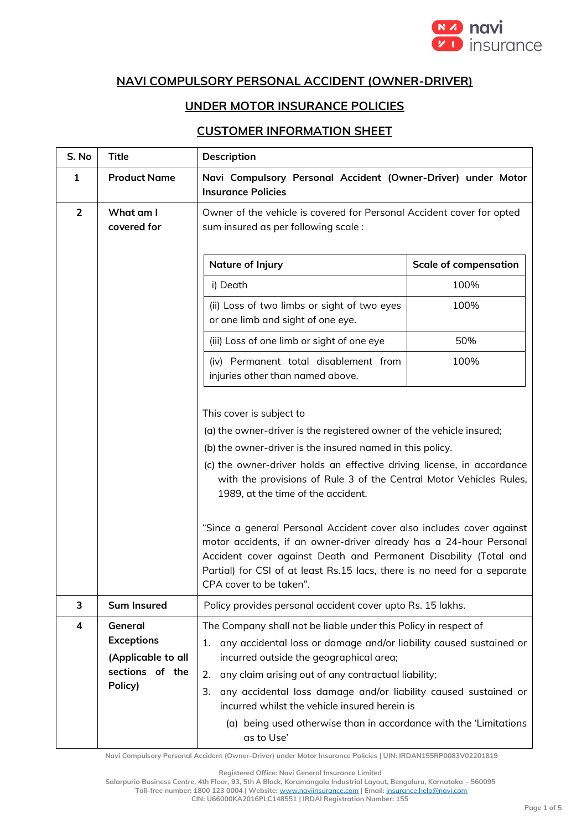

## **NAVI COMPULSORY PERSONAL ACCIDENT (OWNER-DRIVER)**

## **UNDER MOTOR INSURANCE POLICIES**

## **CUSTOMER INFORMATION SHEET**

| S. No          | <b>Title</b>                                                                     | Description                                                                                                                                                                                                                                                                                                                                                                                                                                                                                                                                                                                                                                                                  |                              |
|----------------|----------------------------------------------------------------------------------|------------------------------------------------------------------------------------------------------------------------------------------------------------------------------------------------------------------------------------------------------------------------------------------------------------------------------------------------------------------------------------------------------------------------------------------------------------------------------------------------------------------------------------------------------------------------------------------------------------------------------------------------------------------------------|------------------------------|
| $\mathbf{1}$   | <b>Product Name</b>                                                              | Navi Compulsory Personal Accident (Owner-Driver) under Motor<br><b>Insurance Policies</b>                                                                                                                                                                                                                                                                                                                                                                                                                                                                                                                                                                                    |                              |
| $\overline{2}$ | What am I<br>covered for                                                         | Owner of the vehicle is covered for Personal Accident cover for opted<br>sum insured as per following scale:                                                                                                                                                                                                                                                                                                                                                                                                                                                                                                                                                                 |                              |
|                |                                                                                  | Nature of Injury                                                                                                                                                                                                                                                                                                                                                                                                                                                                                                                                                                                                                                                             | <b>Scale of compensation</b> |
|                |                                                                                  | i) Death                                                                                                                                                                                                                                                                                                                                                                                                                                                                                                                                                                                                                                                                     | 100%                         |
|                |                                                                                  | (ii) Loss of two limbs or sight of two eyes<br>or one limb and sight of one eye.                                                                                                                                                                                                                                                                                                                                                                                                                                                                                                                                                                                             | 100%                         |
|                |                                                                                  | (iii) Loss of one limb or sight of one eye                                                                                                                                                                                                                                                                                                                                                                                                                                                                                                                                                                                                                                   | 50%                          |
|                |                                                                                  | (iv) Permanent total disablement from<br>injuries other than named above.                                                                                                                                                                                                                                                                                                                                                                                                                                                                                                                                                                                                    | 100%                         |
|                |                                                                                  | This cover is subject to<br>(a) the owner-driver is the registered owner of the vehicle insured;<br>(b) the owner-driver is the insured named in this policy.<br>(c) the owner-driver holds an effective driving license, in accordance<br>with the provisions of Rule 3 of the Central Motor Vehicles Rules,<br>1989, at the time of the accident.<br>"Since a general Personal Accident cover also includes cover against<br>motor accidents, if an owner-driver already has a 24-hour Personal<br>Accident cover against Death and Permanent Disability (Total and<br>Partial) for CSI of at least Rs.15 lacs, there is no need for a separate<br>CPA cover to be taken". |                              |
| 3              | <b>Sum Insured</b>                                                               | Policy provides personal accident cover upto Rs. 15 lakhs.                                                                                                                                                                                                                                                                                                                                                                                                                                                                                                                                                                                                                   |                              |
| 4              | General<br><b>Exceptions</b><br>(Applicable to all<br>sections of the<br>Policy) | The Company shall not be liable under this Policy in respect of<br>any accidental loss or damage and/or liability caused sustained or<br>1.<br>incurred outside the geographical area;<br>any claim arising out of any contractual liability;<br>2.<br>any accidental loss damage and/or liability caused sustained or<br>3.<br>incurred whilst the vehicle insured herein is<br>(a) being used otherwise than in accordance with the 'Limitations<br>as to Use'                                                                                                                                                                                                             |                              |

**Navi Compulsory Personal Accident (Owner-Driver) under Motor Insurance Policies | UIN: IRDAN155RP0083V02201819**

**Registered Office: Navi General Insurance Limited**

**Salarpuria Business Centre, 4th Floor, 93, 5th A Block, Koramangala Industrial Layout, Bengaluru, Karnataka – 560095**

**Toll-free number: 1800 123 0004 | Website:** [www.naviinsurance.com](http://www.naviinsurance.com/) **| Email:** [insurance.help@navi.com](mailto:insurance.help@navi.com)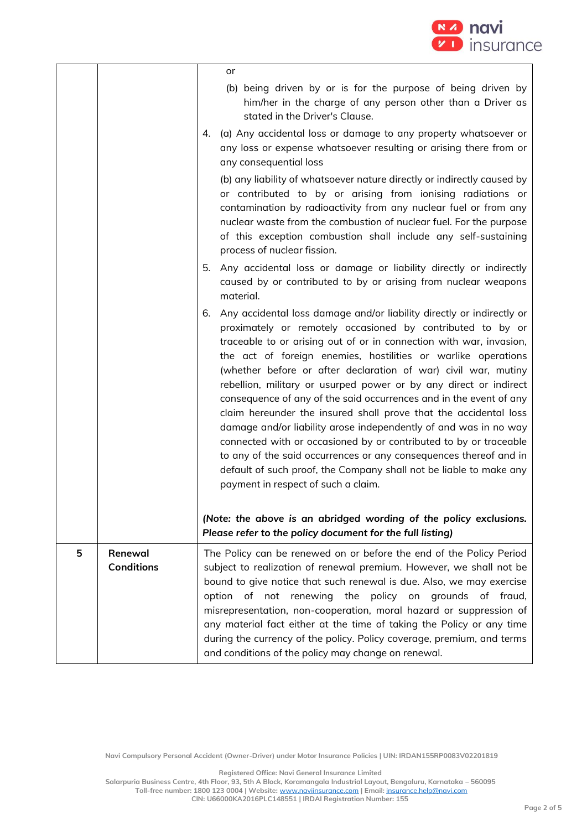

|   |                              | or<br>(b) being driven by or is for the purpose of being driven by<br>him/her in the charge of any person other than a Driver as<br>stated in the Driver's Clause.<br>4. (a) Any accidental loss or damage to any property whatsoever or<br>any loss or expense whatsoever resulting or arising there from or<br>any consequential loss<br>(b) any liability of whatsoever nature directly or indirectly caused by<br>or contributed to by or arising from ionising radiations or<br>contamination by radioactivity from any nuclear fuel or from any<br>nuclear waste from the combustion of nuclear fuel. For the purpose<br>of this exception combustion shall include any self-sustaining<br>process of nuclear fission.                                                                                                                                                                  |
|---|------------------------------|-----------------------------------------------------------------------------------------------------------------------------------------------------------------------------------------------------------------------------------------------------------------------------------------------------------------------------------------------------------------------------------------------------------------------------------------------------------------------------------------------------------------------------------------------------------------------------------------------------------------------------------------------------------------------------------------------------------------------------------------------------------------------------------------------------------------------------------------------------------------------------------------------|
|   |                              | 5.<br>Any accidental loss or damage or liability directly or indirectly<br>caused by or contributed to by or arising from nuclear weapons<br>material.                                                                                                                                                                                                                                                                                                                                                                                                                                                                                                                                                                                                                                                                                                                                        |
|   |                              | Any accidental loss damage and/or liability directly or indirectly or<br>6.<br>proximately or remotely occasioned by contributed to by or<br>traceable to or arising out of or in connection with war, invasion,<br>the act of foreign enemies, hostilities or warlike operations<br>(whether before or after declaration of war) civil war, mutiny<br>rebellion, military or usurped power or by any direct or indirect<br>consequence of any of the said occurrences and in the event of any<br>claim hereunder the insured shall prove that the accidental loss<br>damage and/or liability arose independently of and was in no way<br>connected with or occasioned by or contributed to by or traceable<br>to any of the said occurrences or any consequences thereof and in<br>default of such proof, the Company shall not be liable to make any<br>payment in respect of such a claim. |
|   |                              | (Note: the above is an abridged wording of the policy exclusions.<br>Please refer to the policy document for the full listing)                                                                                                                                                                                                                                                                                                                                                                                                                                                                                                                                                                                                                                                                                                                                                                |
| 5 | Renewal<br><b>Conditions</b> | The Policy can be renewed on or before the end of the Policy Period<br>subject to realization of renewal premium. However, we shall not be<br>bound to give notice that such renewal is due. Also, we may exercise<br>option of not renewing the policy on grounds of fraud,<br>misrepresentation, non-cooperation, moral hazard or suppression of<br>any material fact either at the time of taking the Policy or any time<br>during the currency of the policy. Policy coverage, premium, and terms<br>and conditions of the policy may change on renewal.                                                                                                                                                                                                                                                                                                                                  |

**Navi Compulsory Personal Accident (Owner-Driver) under Motor Insurance Policies | UIN: IRDAN155RP0083V02201819**

**Registered Office: Navi General Insurance Limited**

**Salarpuria Business Centre, 4th Floor, 93, 5th A Block, Koramangala Industrial Layout, Bengaluru, Karnataka – 560095 Toll-free number: 1800 123 0004 | Website:** [www.naviinsurance.com](http://www.naviinsurance.com/) **| Email:** [insurance.help@navi.com](mailto:insurance.help@navi.com)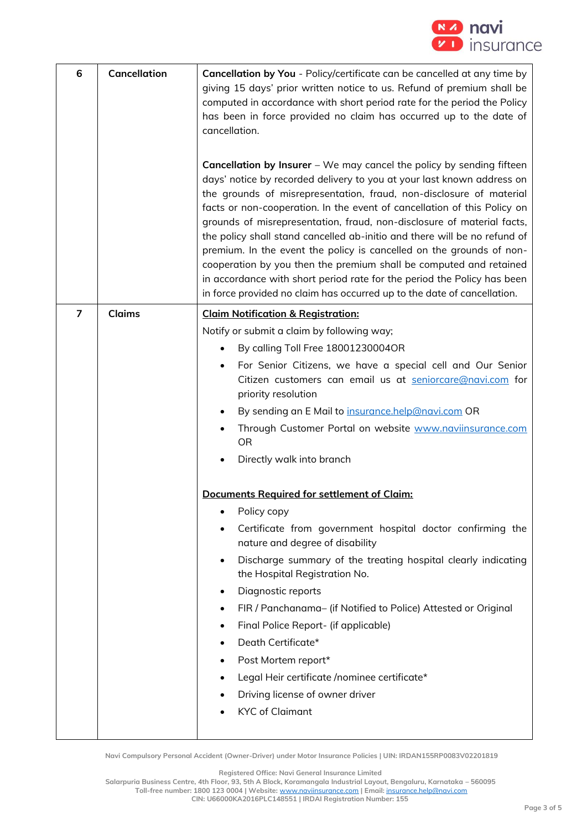

| 6              | Cancellation  | Cancellation by You - Policy/certificate can be cancelled at any time by<br>giving 15 days' prior written notice to us. Refund of premium shall be<br>computed in accordance with short period rate for the period the Policy<br>has been in force provided no claim has occurred up to the date of<br>cancellation.<br><b>Cancellation by Insurer</b> – We may cancel the policy by sending fifteen<br>days' notice by recorded delivery to you at your last known address on<br>the grounds of misrepresentation, fraud, non-disclosure of material<br>facts or non-cooperation. In the event of cancellation of this Policy on<br>grounds of misrepresentation, fraud, non-disclosure of material facts,<br>the policy shall stand cancelled ab-initio and there will be no refund of<br>premium. In the event the policy is cancelled on the grounds of non-<br>cooperation by you then the premium shall be computed and retained<br>in accordance with short period rate for the period the Policy has been<br>in force provided no claim has occurred up to the date of cancellation. |
|----------------|---------------|----------------------------------------------------------------------------------------------------------------------------------------------------------------------------------------------------------------------------------------------------------------------------------------------------------------------------------------------------------------------------------------------------------------------------------------------------------------------------------------------------------------------------------------------------------------------------------------------------------------------------------------------------------------------------------------------------------------------------------------------------------------------------------------------------------------------------------------------------------------------------------------------------------------------------------------------------------------------------------------------------------------------------------------------------------------------------------------------|
| $\overline{7}$ | <b>Claims</b> | <b>Claim Notification &amp; Registration:</b><br>Notify or submit a claim by following way;<br>By calling Toll Free 18001230004OR<br>For Senior Citizens, we have a special cell and Our Senior<br>Citizen customers can email us at seniorcare@navi.com for<br>priority resolution<br>By sending an E Mail to insurance.help@navi.com OR<br>Through Customer Portal on website www.naviinsurance.com<br><b>OR</b><br>Directly walk into branch<br>Documents Required for settlement of Claim:<br>Policy copy<br>Certificate from government hospital doctor confirming the<br>nature and degree of disability<br>Discharge summary of the treating hospital clearly indicating<br>the Hospital Registration No.<br>Diagnostic reports<br>٠<br>FIR / Panchanama- (if Notified to Police) Attested or Original<br>٠<br>Final Police Report- (if applicable)<br>٠<br>Death Certificate*<br>٠<br>Post Mortem report*<br>٠<br>Legal Heir certificate /nominee certificate*<br>Driving license of owner driver<br><b>KYC</b> of Claimant                                                          |

**Navi Compulsory Personal Accident (Owner-Driver) under Motor Insurance Policies | UIN: IRDAN155RP0083V02201819**

**Registered Office: Navi General Insurance Limited**

**Salarpuria Business Centre, 4th Floor, 93, 5th A Block, Koramangala Industrial Layout, Bengaluru, Karnataka – 560095**

**Toll-free number: 1800 123 0004 | Website:** [www.naviinsurance.com](http://www.naviinsurance.com/) **| Email:** [insurance.help@navi.com](mailto:insurance.help@navi.com)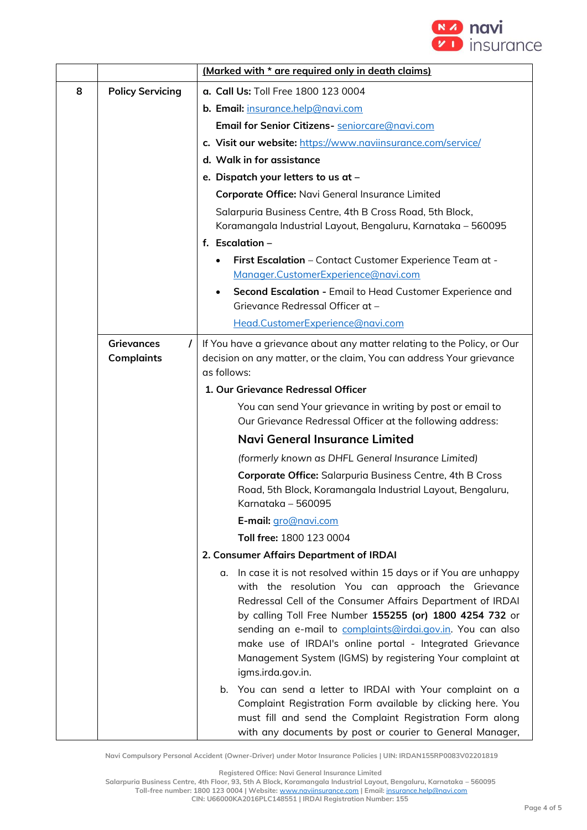

|   |                                             | (Marked with * are required only in death claims)                                                                                                                                                                                                                                                                                                                                                                                                                 |  |
|---|---------------------------------------------|-------------------------------------------------------------------------------------------------------------------------------------------------------------------------------------------------------------------------------------------------------------------------------------------------------------------------------------------------------------------------------------------------------------------------------------------------------------------|--|
| 8 | <b>Policy Servicing</b>                     | a. Call Us: Toll Free 1800 123 0004                                                                                                                                                                                                                                                                                                                                                                                                                               |  |
|   |                                             | b. Email: insurance.help@navi.com                                                                                                                                                                                                                                                                                                                                                                                                                                 |  |
|   |                                             | Email for Senior Citizens- seniorcare@navi.com                                                                                                                                                                                                                                                                                                                                                                                                                    |  |
|   |                                             | c. Visit our website: https://www.naviinsurance.com/service/                                                                                                                                                                                                                                                                                                                                                                                                      |  |
|   |                                             | d. Walk in for assistance                                                                                                                                                                                                                                                                                                                                                                                                                                         |  |
|   |                                             | e. Dispatch your letters to us at -                                                                                                                                                                                                                                                                                                                                                                                                                               |  |
|   |                                             | Corporate Office: Navi General Insurance Limited                                                                                                                                                                                                                                                                                                                                                                                                                  |  |
|   |                                             | Salarpuria Business Centre, 4th B Cross Road, 5th Block,<br>Koramangala Industrial Layout, Bengaluru, Karnataka - 560095                                                                                                                                                                                                                                                                                                                                          |  |
|   |                                             | f. Escalation $-$                                                                                                                                                                                                                                                                                                                                                                                                                                                 |  |
|   |                                             | First Escalation - Contact Customer Experience Team at -<br>Manager.CustomerExperience@navi.com                                                                                                                                                                                                                                                                                                                                                                   |  |
|   |                                             | Second Escalation - Email to Head Customer Experience and<br>$\bullet$<br>Grievance Redressal Officer at -                                                                                                                                                                                                                                                                                                                                                        |  |
|   |                                             | Head.CustomerExperience@navi.com                                                                                                                                                                                                                                                                                                                                                                                                                                  |  |
|   | <b>Grievances</b><br>L<br><b>Complaints</b> | If You have a grievance about any matter relating to the Policy, or Our<br>decision on any matter, or the claim, You can address Your grievance<br>as follows:                                                                                                                                                                                                                                                                                                    |  |
|   |                                             | 1. Our Grievance Redressal Officer                                                                                                                                                                                                                                                                                                                                                                                                                                |  |
|   |                                             | You can send Your grievance in writing by post or email to<br>Our Grievance Redressal Officer at the following address:                                                                                                                                                                                                                                                                                                                                           |  |
|   |                                             | Navi General Insurance Limited                                                                                                                                                                                                                                                                                                                                                                                                                                    |  |
|   |                                             | (formerly known as DHFL General Insurance Limited)                                                                                                                                                                                                                                                                                                                                                                                                                |  |
|   |                                             | Corporate Office: Salarpuria Business Centre, 4th B Cross<br>Road, 5th Block, Koramangala Industrial Layout, Bengaluru,<br>Karnataka - 560095                                                                                                                                                                                                                                                                                                                     |  |
|   |                                             | E-mail: gro@navi.com                                                                                                                                                                                                                                                                                                                                                                                                                                              |  |
|   |                                             | Toll free: 1800 123 0004                                                                                                                                                                                                                                                                                                                                                                                                                                          |  |
|   |                                             | 2. Consumer Affairs Department of IRDAI                                                                                                                                                                                                                                                                                                                                                                                                                           |  |
|   |                                             | In case it is not resolved within 15 days or if You are unhappy<br>α.<br>with the resolution You can approach the Grievance<br>Redressal Cell of the Consumer Affairs Department of IRDAI<br>by calling Toll Free Number 155255 (or) 1800 4254 732 or<br>sending an e-mail to complaints@irdai.gov.in. You can also<br>make use of IRDAI's online portal - Integrated Grievance<br>Management System (IGMS) by registering Your complaint at<br>igms.irda.gov.in. |  |
|   |                                             | You can send a letter to IRDAI with Your complaint on a<br>b.<br>Complaint Registration Form available by clicking here. You<br>must fill and send the Complaint Registration Form along<br>with any documents by post or courier to General Manager,                                                                                                                                                                                                             |  |

**Navi Compulsory Personal Accident (Owner-Driver) under Motor Insurance Policies | UIN: IRDAN155RP0083V02201819**

**Registered Office: Navi General Insurance Limited**

**Salarpuria Business Centre, 4th Floor, 93, 5th A Block, Koramangala Industrial Layout, Bengaluru, Karnataka – 560095**

**Toll-free number: 1800 123 0004 | Website:** [www.naviinsurance.com](http://www.naviinsurance.com/) **| Email:** [insurance.help@navi.com](mailto:insurance.help@navi.com)